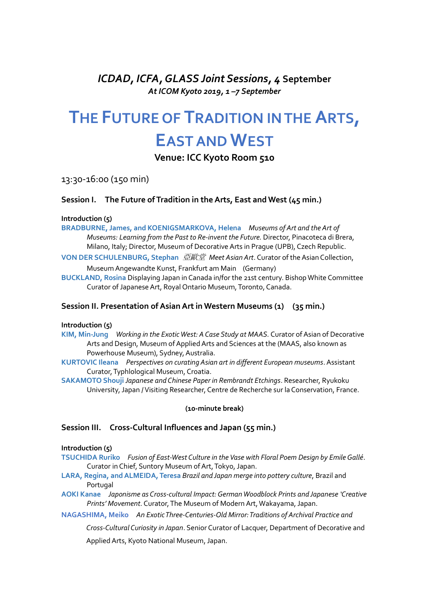*ICDAD, ICFA, GLASS Joint Sessions, 4* **September** *At ICOM Kyoto 2019, 1 –7 September*

# **THE FUTURE OF TRADITION IN THE ARTS, EAST AND WEST**

**Venue: ICC Kyoto Room 510**

13:30-16:00 (150 min)

# **Session I. The Future of Tradition in the Arts, East and West (45 min.)**

### **Introduction (5)**

**BRADBURNE, James, and KOENIGSMARKOVA, Helena** *Museums of Art and the Art of Museums: Learning from the Past to Re-invent the Future.* Director, Pinacoteca di Brera, Milano, Italy; Director, Museum of Decorative Arts in Prague (UPB), Czech Republic.

**VON DER SCHULENBURG, Stephan** 亞歐堂 *Meet Asian Art*. Curator of the Asian Collection, Museum Angewandte Kunst, Frankfurt am Main (Germany)

**BUCKLAND, Rosina** Displaying Japan in Canada in/for the 21st century. Bishop White Committee Curator of Japanese Art, Royal Ontario Museum, Toronto, Canada.

## **Session II. Presentation of Asian Art in Western Museums (1) (35 min.)**

#### **Introduction (5)**

**KIM, Min-Jung** *Working in the Exotic West: A Case Study at MAAS.* Curator of Asian of Decorative Arts and Design, Museum of Applied Arts and Sciences at the (MAAS, also known as Powerhouse Museum), Sydney, Australia.

**KURTOVIC Ileana** *Perspectives on curating Asian art in different European museums*. Assistant Curator,Typhlological Museum, Croatia.

**SAKAMOTO Shouji** *Japanese and Chinese Paper in Rembrandt Etchings*. Researcher, Ryukoku University, Japan / Visiting Researcher, Centre de Recherche sur la Conservation, France.

#### **(10-minute break)**

#### **Session III. Cross-Cultural Influences and Japan (55 min.)**

#### **Introduction (5)**

- **TSUCHIDA Ruriko** *Fusion of East-West Culture in the Vase with Floral Poem Design by Emile Gallé*. Curator in Chief, Suntory Museum of Art, Tokyo, Japan.
- **LARA, Regina, and ALMEIDA, Teresa** *Brazil and Japan merge into pottery culture*, Brazil and Portugal
- **AOKI Kanae** *Japonisme as Cross-cultural Impact: German Woodblock Prints and Japanese 'Creative Prints' Movement.*Curator,The Museum of Modern Art, Wakayama, Japan.

**NAGASHIMA, Meiko** *An Exotic Three-Centuries-Old Mirror: Traditions of Archival Practice and* 

*Cross-Cultural Curiosity in Japan*. Senior Curator of Lacquer, Department of Decorative and

Applied Arts, Kyoto National Museum, Japan.